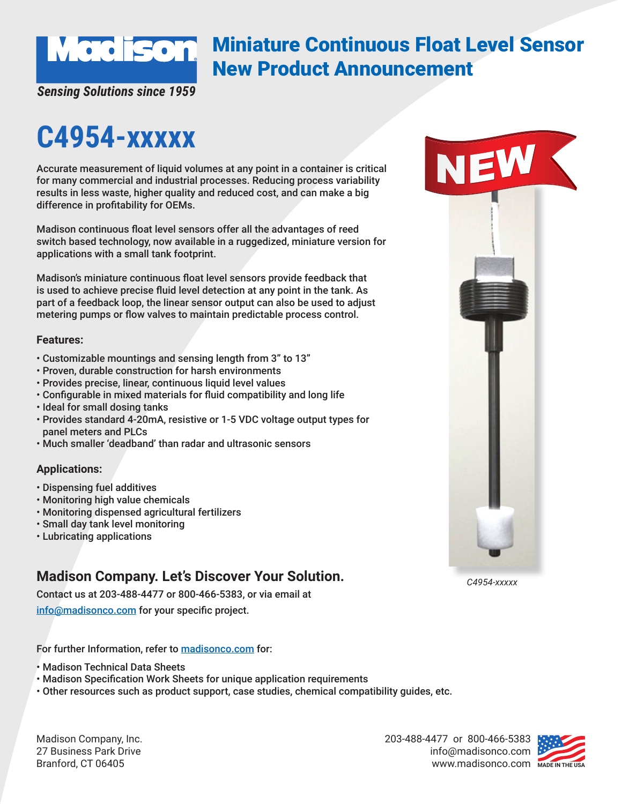

## Miniature Continuous Float Level Sensor New Product Announcement

*Sensing Solutions since 1959*

# **C4954-xxxxx**

Accurate measurement of liquid volumes at any point in a container is critical for many commercial and industrial processes. Reducing process variability results in less waste, higher quality and reduced cost, and can make a big difference in profitability for OEMs.

Madison continuous float level sensors offer all the advantages of reed switch based technology, now available in a ruggedized, miniature version for applications with a small tank footprint.

Madison's miniature continuous float level sensors provide feedback that is used to achieve precise fluid level detection at any point in the tank. As part of a feedback loop, the linear sensor output can also be used to adjust metering pumps or flow valves to maintain predictable process control.

#### **Features:**

- Customizable mountings and sensing length from 3" to 13"
- Proven, durable construction for harsh environments
- Provides precise, linear, continuous liquid level values
- Configurable in mixed materials for fluid compatibility and long life
- Ideal for small dosing tanks
- Provides standard 4-20mA, resistive or 1-5 VDC voltage output types for panel meters and PLCs
- Much smaller 'deadband' than radar and ultrasonic sensors

#### **Applications:**

- Dispensing fuel additives
- Monitoring high value chemicals
- Monitoring dispensed agricultural fertilizers
- Small day tank level monitoring
- Lubricating applications

### **Madison Company. Let's Discover Your Solution.**

Contact us at 203-488-4477 or 800-466-5383, or via email at

info@madisonco.com for your specific project.

For further Information, refer to madisonco.com for:

- Madison Technical Data Sheets
- Madison Specification Work Sheets for unique application requirements

• Other resources such as product support, case studies, chemical compatibility guides, etc.

Madison Company, Inc. 27 Business Park Drive